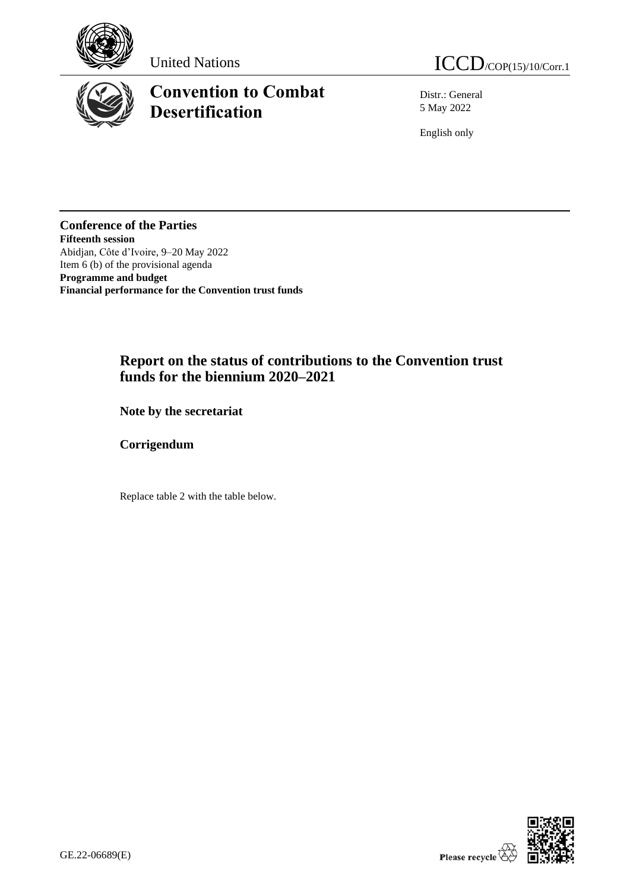

## **Convention to Combat Desertification**

United Nations  $ICCD_{/COP(15)/10/Corr.1}$ 

Distr.: General 5 May 2022

English only

**Conference of the Parties Fifteenth session** Abidjan, Côte d'Ivoire, 9–20 May 2022 Item 6 (b) of the provisional agenda **Programme and budget Financial performance for the Convention trust funds**

## **Report on the status of contributions to the Convention trust funds for the biennium 2020–2021**

**Note by the secretariat**

**Corrigendum**

Replace table 2 with the table below.